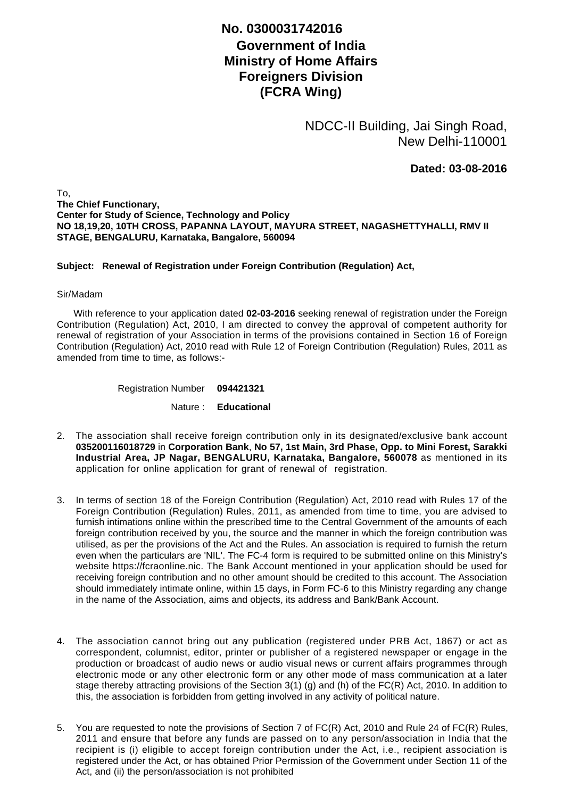## **No. 0300031742016**

## **Government of India Ministry of Home Affairs Foreigners Division (FCRA Wing)**

NDCC-II Building, Jai Singh Road, New Delhi-110001

**Dated: 03-08-2016**

To, **The Chief Functionary, Center for Study of Science, Technology and Policy NO 18,19,20, 10TH CROSS, PAPANNA LAYOUT, MAYURA STREET, NAGASHETTYHALLI, RMV II STAGE, BENGALURU, Karnataka, Bangalore, 560094**

## **Subject: Renewal of Registration under Foreign Contribution (Regulation) Act,**

## Sir/Madam

 With reference to your application dated **02-03-2016** seeking renewal of registration under the Foreign Contribution (Regulation) Act, 2010, I am directed to convey the approval of competent authority for renewal of registration of your Association in terms of the provisions contained in Section 16 of Foreign Contribution (Regulation) Act, 2010 read with Rule 12 of Foreign Contribution (Regulation) Rules, 2011 as amended from time to time, as follows:-

Registration Number **094421321**

Nature : **Educational**

- The association shall receive foreign contribution only in its designated/exclusive bank account 2. **035200116018729** in **Corporation Bank**, **No 57, 1st Main, 3rd Phase, Opp. to Mini Forest, Sarakki Industrial Area, JP Nagar, BENGALURU, Karnataka, Bangalore, 560078** as mentioned in its application for online application for grant of renewal of registration.
- 3. In terms of section 18 of the Foreign Contribution (Regulation) Act, 2010 read with Rules 17 of the Foreign Contribution (Regulation) Rules, 2011, as amended from time to time, you are advised to furnish intimations online within the prescribed time to the Central Government of the amounts of each foreign contribution received by you, the source and the manner in which the foreign contribution was utilised, as per the provisions of the Act and the Rules. An association is required to furnish the return even when the particulars are 'NIL'. The FC-4 form is required to be submitted online on this Ministry's website https://fcraonline.nic. The Bank Account mentioned in your application should be used for receiving foreign contribution and no other amount should be credited to this account. The Association should immediately intimate online, within 15 days, in Form FC-6 to this Ministry regarding any change in the name of the Association, aims and objects, its address and Bank/Bank Account.
- 4. The association cannot bring out any publication (registered under PRB Act, 1867) or act as correspondent, columnist, editor, printer or publisher of a registered newspaper or engage in the production or broadcast of audio news or audio visual news or current affairs programmes through electronic mode or any other electronic form or any other mode of mass communication at a later stage thereby attracting provisions of the Section 3(1) (g) and (h) of the FC(R) Act, 2010. In addition to this, the association is forbidden from getting involved in any activity of political nature.
- 5. You are requested to note the provisions of Section 7 of FC(R) Act, 2010 and Rule 24 of FC(R) Rules, 2011 and ensure that before any funds are passed on to any person/association in India that the recipient is (i) eligible to accept foreign contribution under the Act, i.e., recipient association is registered under the Act, or has obtained Prior Permission of the Government under Section 11 of the Act, and (ii) the person/association is not prohibited